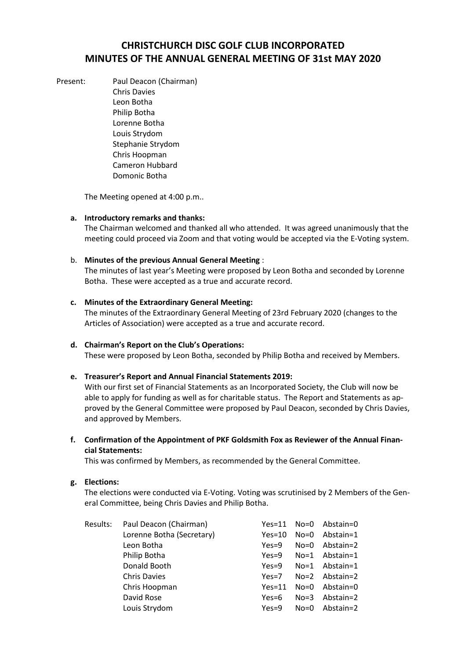# **CHRISTCHURCH DISC GOLF CLUB INCORPORATED MINUTES OF THE ANNUAL GENERAL MEETING OF 31st MAY 2020**

Present: Paul Deacon (Chairman) Chris Davies Leon Botha Philip Botha Lorenne Botha Louis Strydom Stephanie Strydom Chris Hoopman Cameron Hubbard Domonic Botha

The Meeting opened at 4:00 p.m..

# **a. Introductory remarks and thanks:**

The Chairman welcomed and thanked all who attended. It was agreed unanimously that the meeting could proceed via Zoom and that voting would be accepted via the E-Voting system.

# b. **Minutes of the previous Annual General Meeting** :

The minutes of last year's Meeting were proposed by Leon Botha and seconded by Lorenne Botha. These were accepted as a true and accurate record.

# **c. Minutes of the Extraordinary General Meeting:**

The minutes of the Extraordinary General Meeting of 23rd February 2020 (changes to the Articles of Association) were accepted as a true and accurate record.

#### **d. Chairman's Report on the Club's Operations:**

These were proposed by Leon Botha, seconded by Philip Botha and received by Members.

# **e. Treasurer's Report and Annual Financial Statements 2019:**

With our first set of Financial Statements as an Incorporated Society, the Club will now be able to apply for funding as well as for charitable status. The Report and Statements as approved by the General Committee were proposed by Paul Deacon, seconded by Chris Davies, and approved by Members.

**f. Confirmation of the Appointment of PKF Goldsmith Fox as Reviewer of the Annual Financial Statements:**

This was confirmed by Members, as recommended by the General Committee.

#### **g. Elections:**

The elections were conducted via E-Voting. Voting was scrutinised by 2 Members of the General Committee, being Chris Davies and Philip Botha.

| Results: | Paul Deacon (Chairman)    | $Yes=11$ | $No = 0$ | Abstain=0      |
|----------|---------------------------|----------|----------|----------------|
|          | Lorenne Botha (Secretary) | $Yes=10$ | $No = 0$ | Abstain=1      |
|          | Leon Botha                | $Yes=9$  | $No = 0$ | Abstain=2      |
|          | Philip Botha              | $Yes=9$  | $No=1$   | Abstain=1      |
|          | Donald Booth              | $Yes=9$  |          | No=1 Abstain=1 |
|          | <b>Chris Davies</b>       | $Yes=7$  |          | No=2 Abstain=2 |
|          | Chris Hoopman             | $Yes=11$ | $No = 0$ | Abstain=0      |
|          | David Rose                | $Yes=6$  | $No=3$   | Abstain=2      |
|          | Louis Strydom             | $Yes=9$  | $No = 0$ | Abstain=2      |
|          |                           |          |          |                |